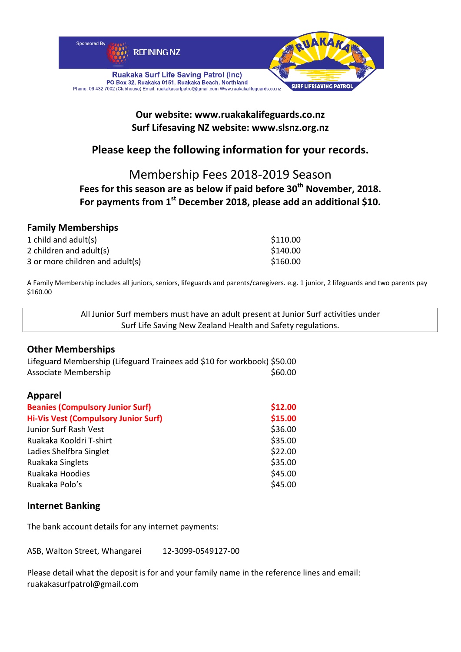

### **Our website: www.ruakakalifeguards.co.nz Surf Lifesaving NZ website: www.slsnz.org.nz**

# **Please keep the following information for your records.**

## Membership Fees 2018‐2019 Season

### **Fees for this season are as below if paid before 30th November, 2018. For payments from 1st December 2018, please add an additional \$10.**

### **Family Memberships**

| 1 child and adult(s)            | \$110.00 |
|---------------------------------|----------|
| 2 children and adult(s)         | \$140.00 |
| 3 or more children and adult(s) | \$160.00 |

A Family Membership includes all juniors, seniors, lifeguards and parents/caregivers. e.g. 1 junior, 2 lifeguards and two parents pay \$160.00

> All Junior Surf members must have an adult present at Junior Surf activities under Surf Life Saving New Zealand Health and Safety regulations.

#### **Other Memberships**

Lifeguard Membership (Lifeguard Trainees add \$10 for workbook) \$50.00 Associate Membership \$60.00

#### **Apparel**

| <b>Beanies (Compulsory Junior Surf)</b>     | \$12.00 |
|---------------------------------------------|---------|
| <b>Hi-Vis Vest (Compulsory Junior Surf)</b> | \$15.00 |
| Junior Surf Rash Vest                       | \$36.00 |
| Ruakaka Kooldri T-shirt                     | \$35.00 |
| Ladies Shelfbra Singlet                     | \$22.00 |
| Ruakaka Singlets                            | \$35.00 |
| Ruakaka Hoodies                             | \$45.00 |
| Ruakaka Polo's                              | \$45.00 |

#### **Internet Banking**

The bank account details for any internet payments:

ASB, Walton Street, Whangarei 12‐3099‐0549127‐00

Please detail what the deposit is for and your family name in the reference lines and email: ruakakasurfpatrol@gmail.com